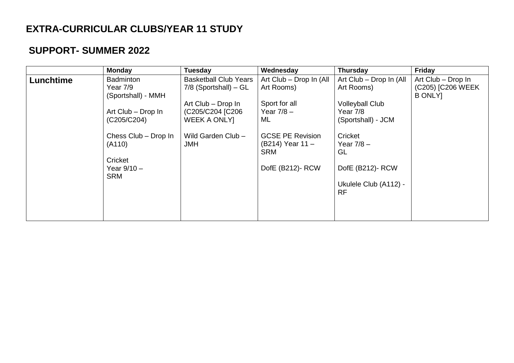## **EXTRA-CURRICULAR CLUBS/YEAR 11 STUDY**

## **SUPPORT- SUMMER 2022**

|           | <b>Monday</b>                                                                                                                                         | <b>Tuesday</b>                                                                                                                                               | Wednesday                                                                                                                                                     | <b>Thursday</b>                                                                                                                                       | Friday                                                    |
|-----------|-------------------------------------------------------------------------------------------------------------------------------------------------------|--------------------------------------------------------------------------------------------------------------------------------------------------------------|---------------------------------------------------------------------------------------------------------------------------------------------------------------|-------------------------------------------------------------------------------------------------------------------------------------------------------|-----------------------------------------------------------|
| Lunchtime | <b>Badminton</b><br>Year 7/9<br>(Sportshall) - MMH<br>Art Club - Drop In<br>(C205/C204)<br>Chess Club - Drop In<br>(A110)<br>Cricket<br>Year $9/10 -$ | <b>Basketball Club Years</b><br>$7/8$ (Sportshall) – GL<br>Art Club - Drop In<br>(C205/C204 [C206<br><b>WEEK A ONLY]</b><br>Wild Garden Club -<br><b>JMH</b> | Art Club - Drop In (All<br>Art Rooms)<br>Sport for all<br>Year $7/8$ –<br>ML<br><b>GCSE PE Revision</b><br>(B214) Year 11 -<br><b>SRM</b><br>DofE (B212)- RCW | Art Club - Drop In (All<br>Art Rooms)<br><b>Volleyball Club</b><br>Year 7/8<br>(Sportshall) - JCM<br>Cricket<br>Year $7/8$ –<br>GL<br>DofE (B212)-RCW | Art Club - Drop In<br>(C205) [C206 WEEK<br><b>B ONLY1</b> |
|           | <b>SRM</b>                                                                                                                                            |                                                                                                                                                              |                                                                                                                                                               | Ukulele Club (A112) -<br><b>RF</b>                                                                                                                    |                                                           |